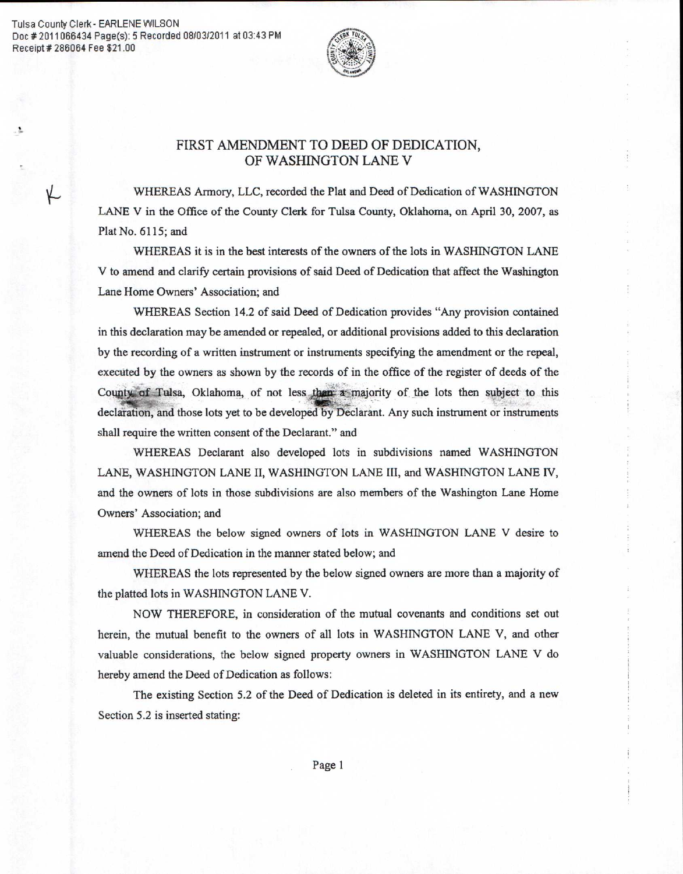Tulsa County Clerk- EARLENE WILSON Doc # 2011066434 Page(s): 5 Recorded 08/0312011 at 03:43 PM Receipt # 286064 Fee \$21.00



## FIRST AMENDMENT TO DEED OF DEDICATION, OF WASHINGTON LANE V

WHEREAS Armory, LLC, recorded the Plat and Deed of Dedication of WASHINGTON LANE V in the Office of the County Clerk for Tulsa County, Oklahoma, on April 30, 2007, as Plat No. 6115; and

WHEREAS it is in the best interests of the owners of the lots in WASHINGTON LANE V to amend and clarify certain provisions of said Deed of Dedication that affect the Washington Lane Home Owners' Association; and

WHEREAS Section 14.2 of said Deed of Dedication provides "Any provision contained in this declaration may be amended or repealed, or additional provisions added to this declaration by the recording of a written instrument or instruments specifying the amendment or the repeal, executed by the owners as shown by the records of in the office of the register of deeds of the County of Tulsa, Oklahoma, of not less then  $\alpha$ -majority of the lots then subject to this declaration, and those lots yet to be developed by Declarant. Any such instrument or instruments shall require the written consent of the Declarant." and

WHEREAS Declarant also developed lots in subdivisions named WASHINGTON LANE, WASHINGTON LANE II, WASHINGTON LANE III, and WASHINGTON LANE IV, and the owners of lots in those subdivisions are also members of the Washington Lane Home Owners' Association; and

WHEREAS the below signed owners of lots in WASHINGTON LANE V desire to amend the Deed of Dedication in the manner stated below; and

WHEREAS the lots represented by the below signed owners are more than a majority of the platted lots in WASHINGTON LANE V.

NOW THEREFORE, in consideration of the mutual covenants and conditions set out herein, the mutual benefit to the owners of all lots in WASHINGTON LANE V, and other valuable considerations, the below signed property owners in WASHINGTON LANE V do hereby amend the Deed of Dedication as follows:

The existing Section 5.2 of the Deed of Dedication is deleted in its entirety, and a new Section 5.2 is inserted stating: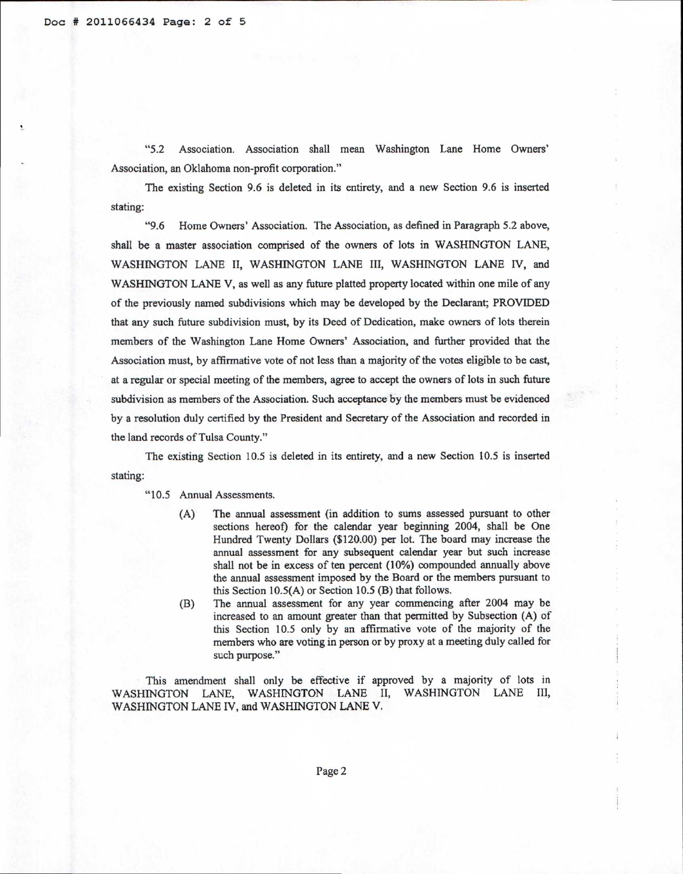"5.2 Association. Association shall mean Washington Lane Home Owners' Association, an Oklahoma non-profit corporation."

The existing Section 9.6 is deleted in its entirety, and a new Section 9.6 is inserted stating:

"9.6 Home Owners' Association. The Association, as defined in Paragraph 5.2 above, shall be a master association comprised of the owners of lots in WASHINGTON LANE, WASHINGTON LANE II, WASHINGTON LANE III, WASHINGTON LANE IV, and WASHINGTON LANE V, as well as any future platted property located within one mile of any of the previously named subdivisions which may be developed by the Declarant; PROVIDED that any such future subdivision must, by its Deed of Dedication, make owners of lots therein members of the Washington Lane Home Owners' Association, and further provided that the Association must, by affirmative vote of not less than a majority of the votes eligible to be cast, at a regular or special meeting of the members, agree to accept the owners of lots in such future subdivision as members of the Association. Such acceptance by the members must be evidenced by a resolution duly certified by the President and Secretary of the Association and recorded in the land records of Tulsa County."

The existing Section 10.5 is deleted in its entirety, and a new Section 10.5 is inserted stating:

"10.5 Annual Assessments.

- (A) The annual assessment (in addition to sums assessed pursuant to other sections hereof) for the calendar year beginning 2004, shall be One Hundred Twenty Dollars (\$120.00) per lot. The board may increase the annual assessment for any subsequent calendar year but such increase shall not be in excess of ten percent (10%) compounded annually above the annual assessment imposed by the Board or the members pursuant to this Section 10.5(A) or Section 10.5 (B) that follows.
- (B) The annual assessment for any year commencing after 2004 may be increased to an amount greater than that permitted by Subsection (A) of this Section 10.5 only by an affirmative vote of the majority of the members who are voting in person or by proxy at a meeting duly called for such purpose."

This amendment shall only be effective if approved by a majority of lots in WASHINGTON LANE, WASHINGTON LANE II, WASHINGTON LANE Ill, WASHINGTON LANE IV, and WASHINGTON LANE V.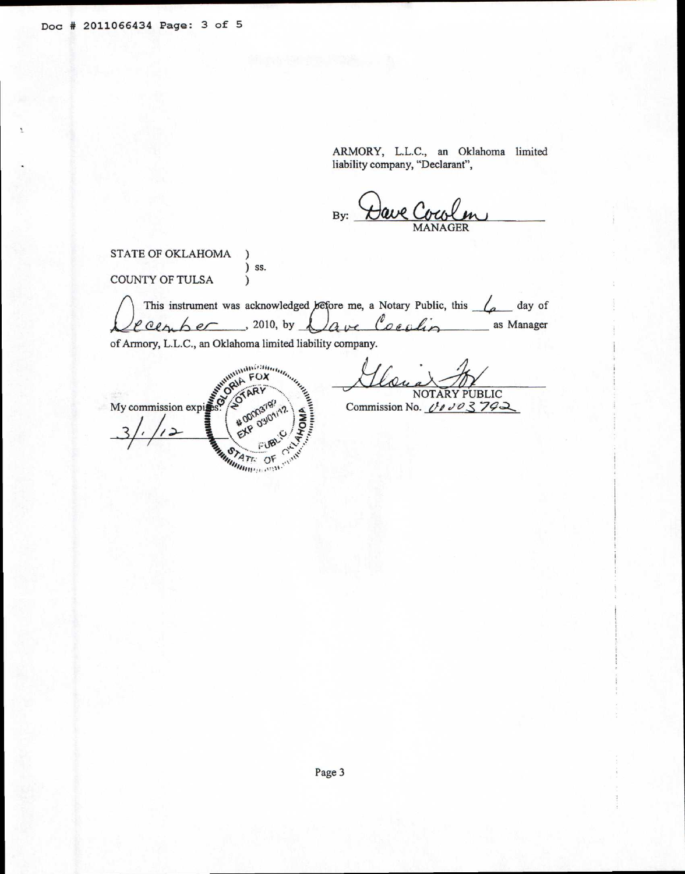ARMORY, L.L.C., an Oklahoma limited liability company, "Declarant",

By: Dave Cocol

STATE OF OKLAHOMA

 $\mathcal{E}$ ) ss.

 $\lambda$ 

**COUNTY OF TULSA** 

This instrument was acknowledged before me, a Notary Public, this  $\sqrt{\phantom{a}}$ day of Coeslin as Manager  $-$ , 2010, by  $\overline{\phantom{0}}$ cember ave of Armory, L.L.C., an Oklahoma limited liability company.

of Armory, L.L.C., NOTARY PUBLIC EXP 03/01/12 Commission No.  $0.023792$ FIR **MATATE OF**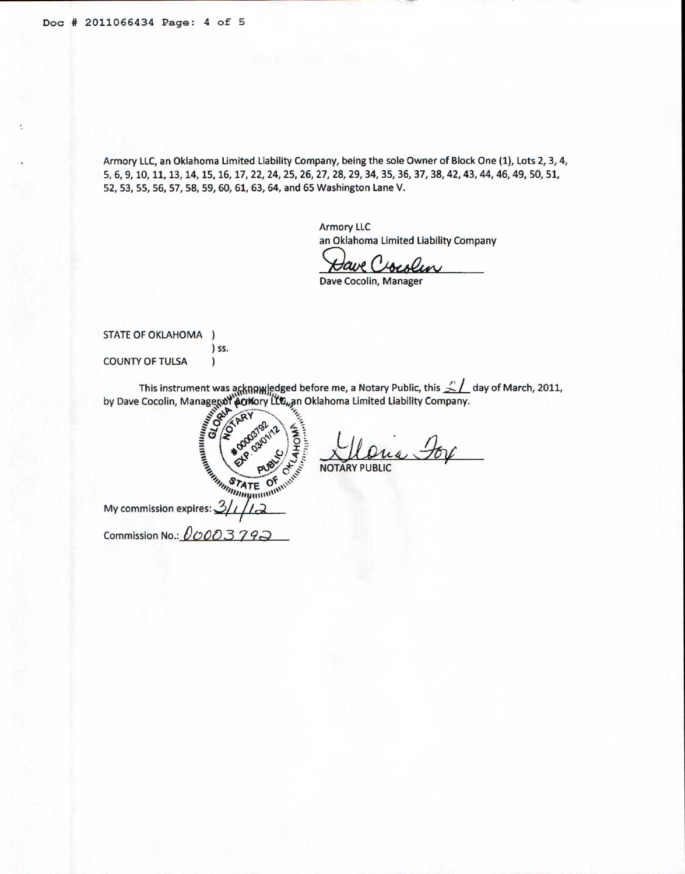Armory LLC, an Oklahoma Limited Liability Company, being the sole Owner of Block One (1), Lots 2, 3, 4, 5, 6, 9, 10, 11, 13, 14, 15, 16, 17, 22, 24, 25, 26, 27, 28, 29, 34, 35, 36, 37, 38, 42, 43, 44, 46, 49, 50, 51, 52, 53, 55, 56, 57, 58, 59, 60, 61, 63, 64, and 65 Washington Lane V.

> Armory LLC an Oklahoma Limited Liability Company

ave

Dave Cocolin, Manager

STATE OF OKLAHOMA ) ) ss. **COUNTY OF TULSA**  $\mathcal{L}$ 

This instrument was acknowledged before me, a Notary Public, this  $\angle\angle\angle$  day of March, 2011,

This instrument was acknowledged before me, a Notary Public, this 21

My commission expires:

Commission No.:  $00003792$